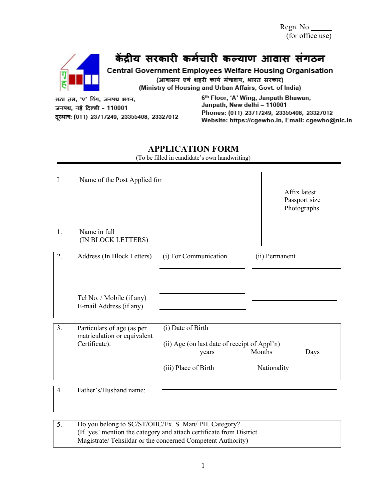Regn. No. (for office use)

# केंद्रीय सरकारी कर्मचारी कल्याण आवास संगठन

Central Government Employees Welfare Housing Organisation

(आवासन एवं शहरी कार्य मंत्रालय, भारत सरकार) (Ministry of Housing and Urban Affairs, Govt. of India)

छठा तल, 'ए' विंग, जनपथ भवन, जनपथ, नई दिल्ली - 110001 दूरभाषः (011) 23717249, 23355408, 23327012 6th Floor, 'A' Wing, Janpath Bhawan, Janpath, New delhi - 110001 Phones: (011) 23717249, 23355408, 23327012 Website: https://cgewho.in, Email: cgewho@nic.in

## **APPLICATION FORM**

(To be filled in candidate's own handwriting)

| $\mathbf I$ | Name of the Post Applied for                                               |                                                                   | Affix latest<br>Passport size<br>Photographs                                                                         |
|-------------|----------------------------------------------------------------------------|-------------------------------------------------------------------|----------------------------------------------------------------------------------------------------------------------|
| 1.          | Name in full                                                               |                                                                   |                                                                                                                      |
| 2.          | Address (In Block Letters)                                                 | (i) For Communication                                             | (ii) Permanent                                                                                                       |
|             | Tel No. / Mobile (if any)<br>E-mail Address (if any)                       | <u> 1989 - Jan Salaman Salaman (j. 1989)</u>                      | <u> 1980 - Jan Samuel Barbara, político establecer a la contrada de la contrada de la contrada de la contrada de</u> |
| 3.          | Particulars of age (as per<br>matriculation or equivalent<br>Certificate). | (ii) Age (on last date of receipt of Appl'n)<br>vears Months Days | (iii) Place of Birth Nationality                                                                                     |
| 4.          | Father's/Husband name:                                                     |                                                                   |                                                                                                                      |
| 5.          |                                                                            | Do you belong to SC/ST/OBC/Ex. S. Man/ PH. Category?              |                                                                                                                      |

(If 'yes' mention the category and attach certificate from District Magistrate/ Tehsildar or the concerned Competent Authority)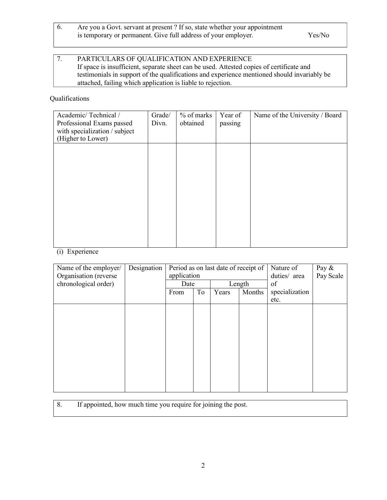6. Are you a Govt. servant at present ? If so, state whether your appointment is temporary or permanent. Give full address of your employer. Yes/No

#### 7. PARTICULARS OF QUALIFICATION AND EXPERIENCE If space is insufficient, separate sheet can be used. Attested copies of certificate and testimonials in support of the qualifications and experience mentioned should invariably be attached, failing which application is liable to rejection.

#### Qualifications

| Academic/Technical /          | Grade/ | % of marks | Year of | Name of the University / Board |
|-------------------------------|--------|------------|---------|--------------------------------|
| Professional Exams passed     | Divn.  | obtained   | passing |                                |
| with specialization / subject |        |            |         |                                |
| (Higher to Lower)             |        |            |         |                                |
|                               |        |            |         |                                |
|                               |        |            |         |                                |
|                               |        |            |         |                                |
|                               |        |            |         |                                |
|                               |        |            |         |                                |
|                               |        |            |         |                                |
|                               |        |            |         |                                |
|                               |        |            |         |                                |
|                               |        |            |         |                                |
|                               |        |            |         |                                |
|                               |        |            |         |                                |
|                               |        |            |         |                                |

### (i) Experience

| Name of the employer/<br>Organisation (reverse | Designation | Period as on last date of receipt of<br>application |    |       | Nature of<br>duties/ area | Pay $\&$<br>Pay Scale |  |
|------------------------------------------------|-------------|-----------------------------------------------------|----|-------|---------------------------|-----------------------|--|
| chronological order)                           |             | Date                                                |    |       | Length                    | of                    |  |
|                                                |             | From                                                | To | Years | Months                    | specialization        |  |
|                                                |             |                                                     |    |       |                           | etc.                  |  |
|                                                |             |                                                     |    |       |                           |                       |  |
|                                                |             |                                                     |    |       |                           |                       |  |
|                                                |             |                                                     |    |       |                           |                       |  |
|                                                |             |                                                     |    |       |                           |                       |  |
|                                                |             |                                                     |    |       |                           |                       |  |
|                                                |             |                                                     |    |       |                           |                       |  |
|                                                |             |                                                     |    |       |                           |                       |  |
|                                                |             |                                                     |    |       |                           |                       |  |
|                                                |             |                                                     |    |       |                           |                       |  |
|                                                |             |                                                     |    |       |                           |                       |  |
|                                                |             |                                                     |    |       |                           |                       |  |

8. If appointed, how much time you require for joining the post.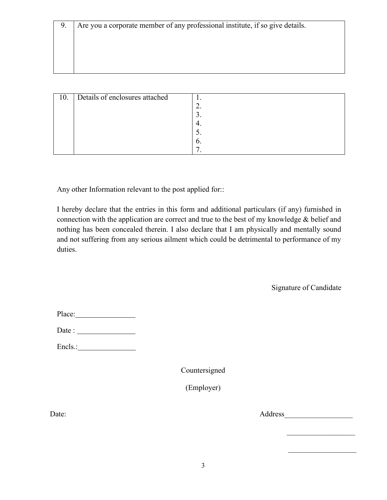| 10. | Details of enclosures attached |    |
|-----|--------------------------------|----|
|     |                                |    |
|     |                                |    |
|     |                                |    |
|     |                                |    |
|     |                                | O. |
|     |                                |    |

Any other Information relevant to the post applied for::

I hereby declare that the entries in this form and additional particulars (if any) furnished in connection with the application are correct and true to the best of my knowledge & belief and nothing has been concealed therein. I also declare that I am physically and mentally sound and not suffering from any serious ailment which could be detrimental to performance of my duties.

Signature of Candidate

 $\mathcal{L}_\text{max}$  , where  $\mathcal{L}_\text{max}$ 

| Place: |
|--------|
|        |

Encls.: No. 1998.

Countersigned

(Employer)

Date: Address\_\_\_\_\_\_\_\_\_\_\_\_\_\_\_\_\_\_

 $\mathcal{L}_\text{max}$  and  $\mathcal{L}_\text{max}$  are the set of the set of the set of the set of the set of the set of the set of the set of the set of the set of the set of the set of the set of the set of the set of the set of the set o